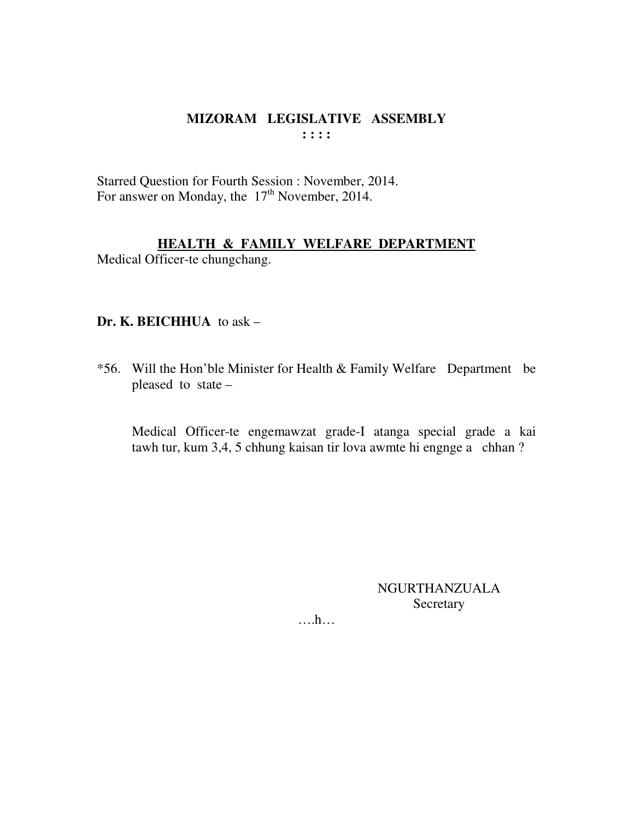Starred Question for Fourth Session : November, 2014. For answer on Monday, the 17<sup>th</sup> November, 2014.

# **HEALTH & FAMILY WELFARE DEPARTMENT**

Medical Officer-te chungchang.

#### Dr. K. BEICHHUA to ask -

\*56. Will the Hon'ble Minister for Health & Family Welfare Department be pleased to state -

Medical Officer-te engemawzat grade-I atanga special grade a kai tawh tur, kum 3,4, 5 chhung kaisan tir lova awmte hi engnge a chhan?

> **NGURTHANZUALA** Secretary

 $\dots$ ...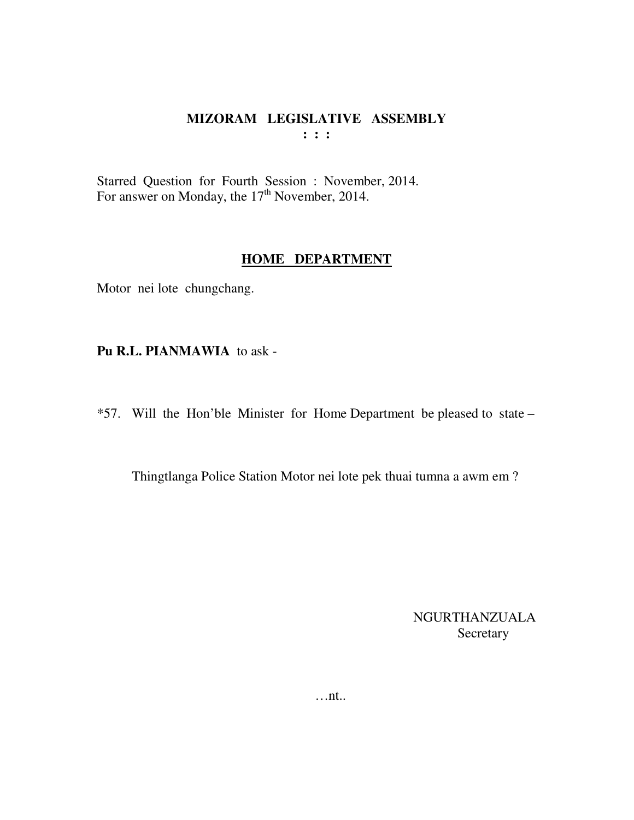Starred Question for Fourth Session : November, 2014. For answer on Monday, the  $17<sup>th</sup>$  November, 2014.

#### **HOME DEPARTMENT**

Motor nei lote chungchang.

**Pu R.L. PIANMAWIA** to ask -

\*57. Will the Hon'ble Minister for Home Department be pleased to state –

Thingtlanga Police Station Motor nei lote pek thuai tumna a awm em ?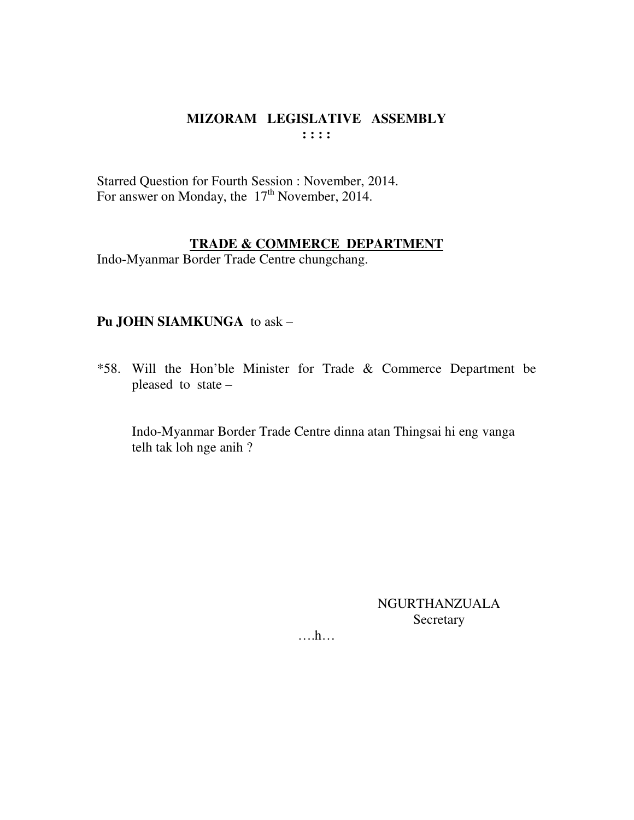Starred Question for Fourth Session : November, 2014. For answer on Monday, the 17<sup>th</sup> November, 2014.

#### **TRADE & COMMERCE DEPARTMENT**

Indo-Myanmar Border Trade Centre chungchang.

# **Pu JOHN SIAMKUNGA** to ask –

\*58. Will the Hon'ble Minister for Trade & Commerce Department be pleased to state –

 Indo-Myanmar Border Trade Centre dinna atan Thingsai hi eng vanga telh tak loh nge anih ?

> NGURTHANZUALA Secretary

….h…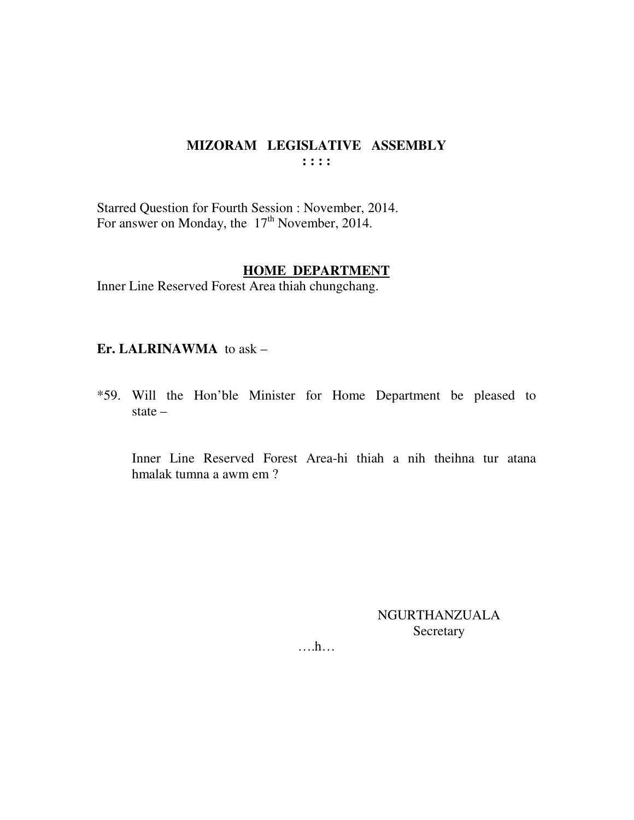Starred Question for Fourth Session : November, 2014. For answer on Monday, the 17<sup>th</sup> November, 2014.

#### **HOME DEPARTMENT**

Inner Line Reserved Forest Area thiah chungchang.

#### **Er. LALRINAWMA** to ask –

\*59. Will the Hon'ble Minister for Home Department be pleased to state –

 Inner Line Reserved Forest Area-hi thiah a nih theihna tur atana hmalak tumna a awm em ?

> NGURTHANZUALA Secretary

….h…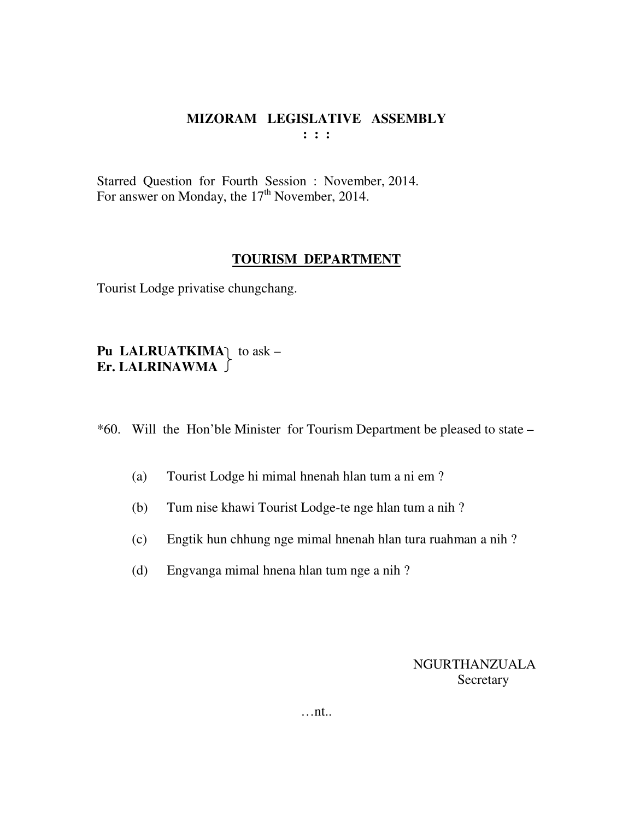Starred Question for Fourth Session : November, 2014. For answer on Monday, the  $17<sup>th</sup>$  November, 2014.

#### **TOURISM DEPARTMENT**

Tourist Lodge privatise chungchang.

# Pu LALRUATKIMA<sub>1</sub> to ask – **Er. LALRINAWMA**

\*60. Will the Hon'ble Minister for Tourism Department be pleased to state –

- (a) Tourist Lodge hi mimal hnenah hlan tum a ni em ?
- (b) Tum nise khawi Tourist Lodge-te nge hlan tum a nih ?
- (c) Engtik hun chhung nge mimal hnenah hlan tura ruahman a nih ?
- (d) Engvanga mimal hnena hlan tum nge a nih ?

NGURTHANZUALA **Secretary** 

…nt..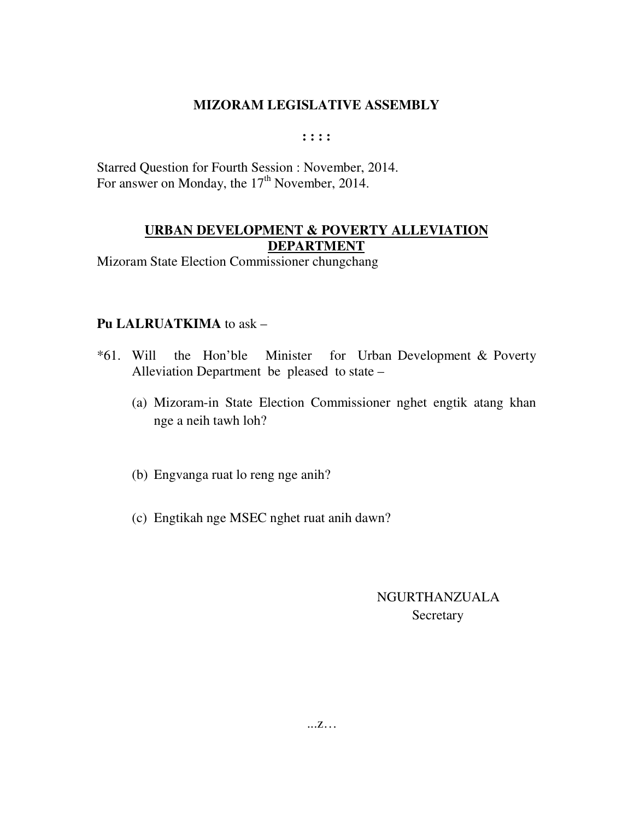**: : : :** 

Starred Question for Fourth Session : November, 2014. For answer on Monday, the  $17<sup>th</sup>$  November, 2014.

# **URBAN DEVELOPMENT & POVERTY ALLEVIATION DEPARTMENT**

Mizoram State Election Commissioner chungchang

#### **Pu LALRUATKIMA** to ask –

- \*61. Will the Hon'ble Minister for Urban Development & Poverty Alleviation Department be pleased to state –
	- (a) Mizoram-in State Election Commissioner nghet engtik atang khan nge a neih tawh loh?
	- (b) Engvanga ruat lo reng nge anih?
	- (c) Engtikah nge MSEC nghet ruat anih dawn?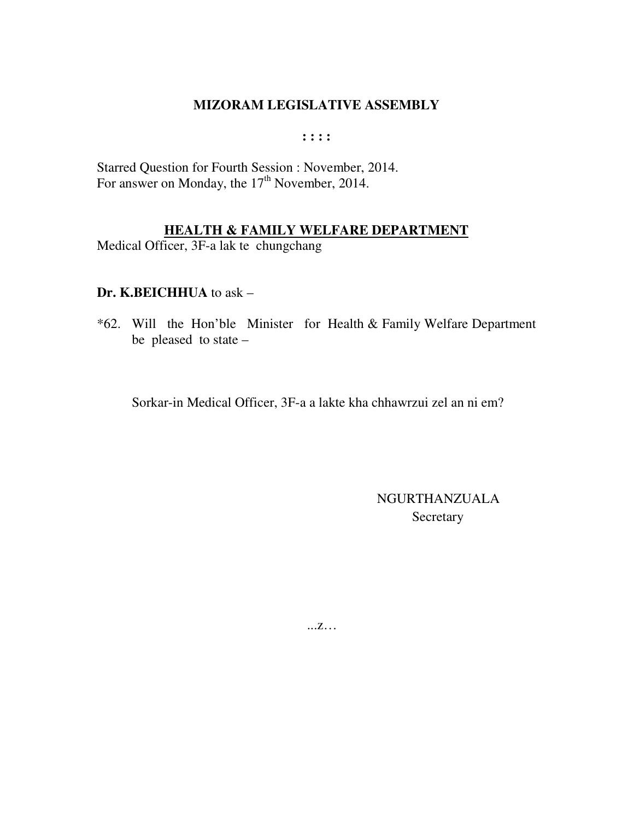$: : : :$ 

Starred Question for Fourth Session : November, 2014.<br>For answer on Monday, the 17<sup>th</sup> November, 2014.

# **HEALTH & FAMILY WELFARE DEPARTMENT**

Medical Officer, 3F-a lak te chungchang

#### Dr. K.BEICHHUA to ask -

\*62. Will the Hon'ble Minister for Health & Family Welfare Department be pleased to state  $-$ 

Sorkar-in Medical Officer, 3F-a a lakte kha chhawrzui zel an ni em?

NGURTHANZUALA Secretary

 $...Z...$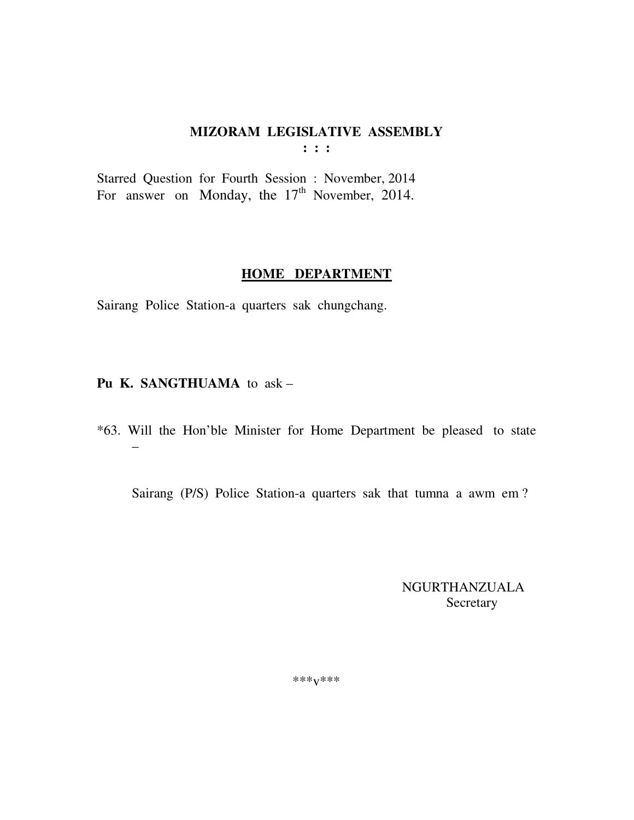$: : :$ 

Starred Question for Fourth Session : November, 2014 For answer on Monday, the 17<sup>th</sup> November, 2014.

#### **HOME DEPARTMENT**

Sairang Police Station-a quarters sak chungchang.

# Pu K. SANGTHUAMA to ask-

\*63. Will the Hon'ble Minister for Home Department be pleased to state

Sairang (P/S) Police Station-a quarters sak that tumna a awm em?

**NGURTHANZUALA** Secretary

\*\*\* $V$ \*\*\*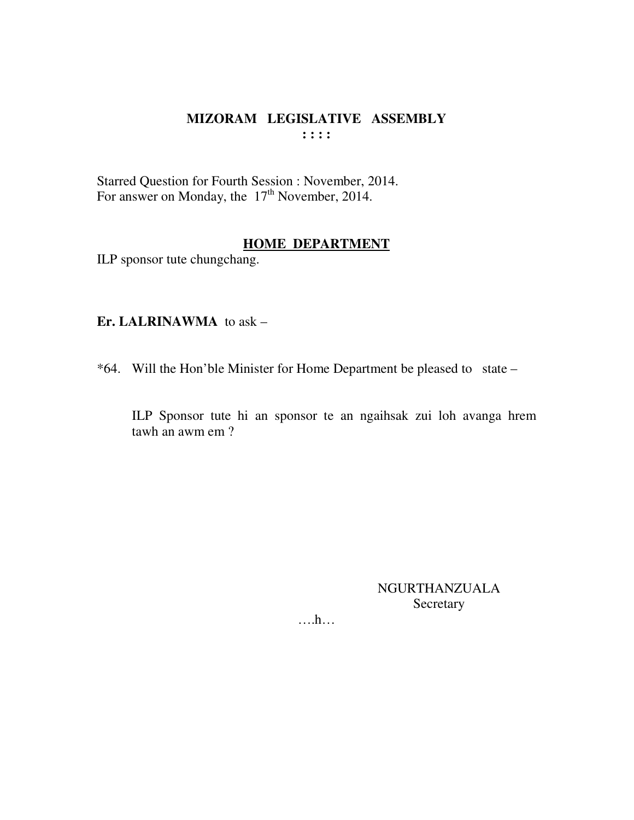Starred Question for Fourth Session : November, 2014. For answer on Monday, the 17<sup>th</sup> November, 2014.

#### **HOME DEPARTMENT**

ILP sponsor tute chungchang.

#### Er. LALRINAWMA to ask -

\*64. Will the Hon'ble Minister for Home Department be pleased to state -

ILP Sponsor tute hi an sponsor te an ngaihsak zui loh avanga hrem tawh an awm em?

> **NGURTHANZUALA** Secretary

 $\dots$ ...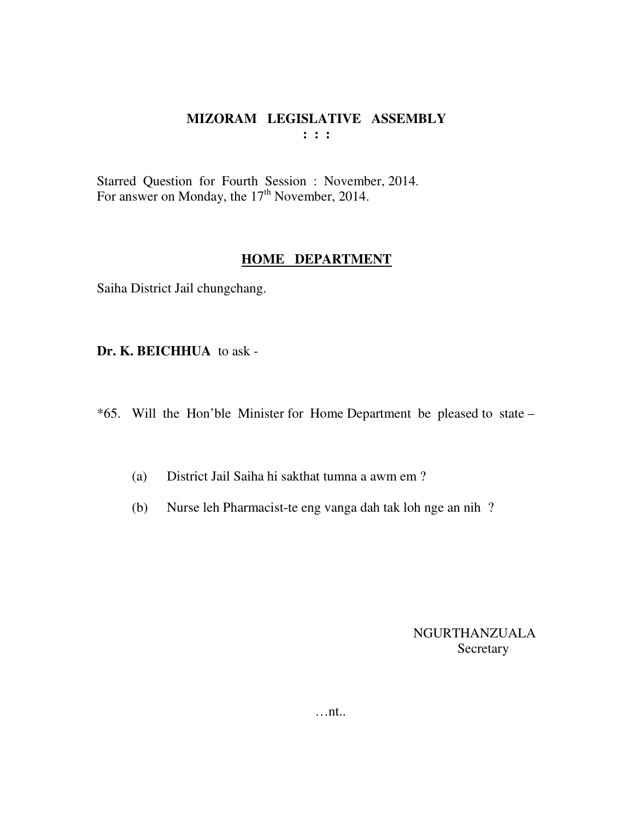Starred Question for Fourth Session : November, 2014. For answer on Monday, the  $17<sup>th</sup>$  November, 2014.

#### **HOME DEPARTMENT**

Saiha District Jail chungchang.

**Dr. K. BEICHHUA** to ask -

\*65. Will the Hon'ble Minister for Home Department be pleased to state –

- (a) District Jail Saiha hi sakthat tumna a awm em ?
- (b) Nurse leh Pharmacist-te eng vanga dah tak loh nge an nih ?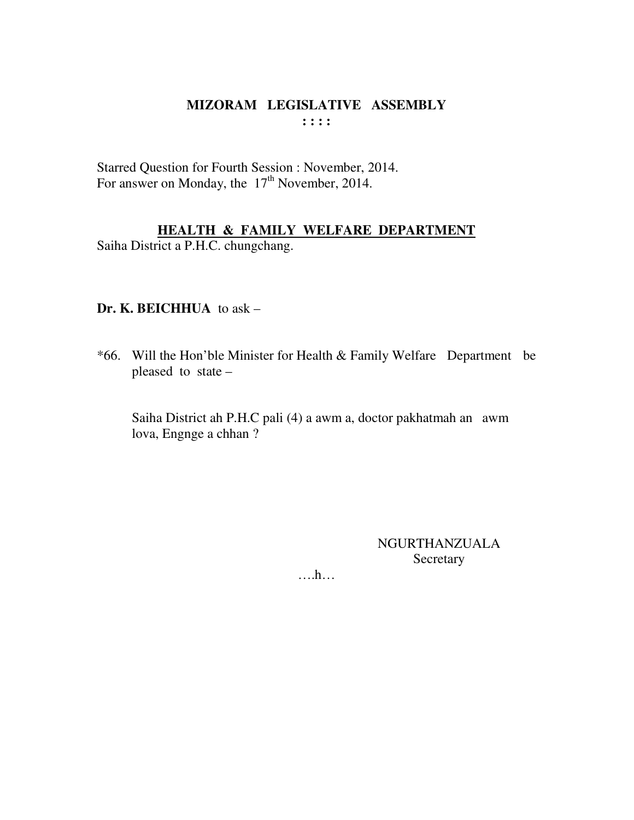Starred Question for Fourth Session : November, 2014. For answer on Monday, the 17<sup>th</sup> November, 2014.

# **HEALTH & FAMILY WELFARE DEPARTMENT**

Saiha District a P.H.C. chungchang.

#### **Dr. K. BEICHHUA** to ask –

\*66. Will the Hon'ble Minister for Health & Family Welfare Department be pleased to state –

 Saiha District ah P.H.C pali (4) a awm a, doctor pakhatmah an awm lova, Engnge a chhan ?

> NGURTHANZUALA Secretary

….h…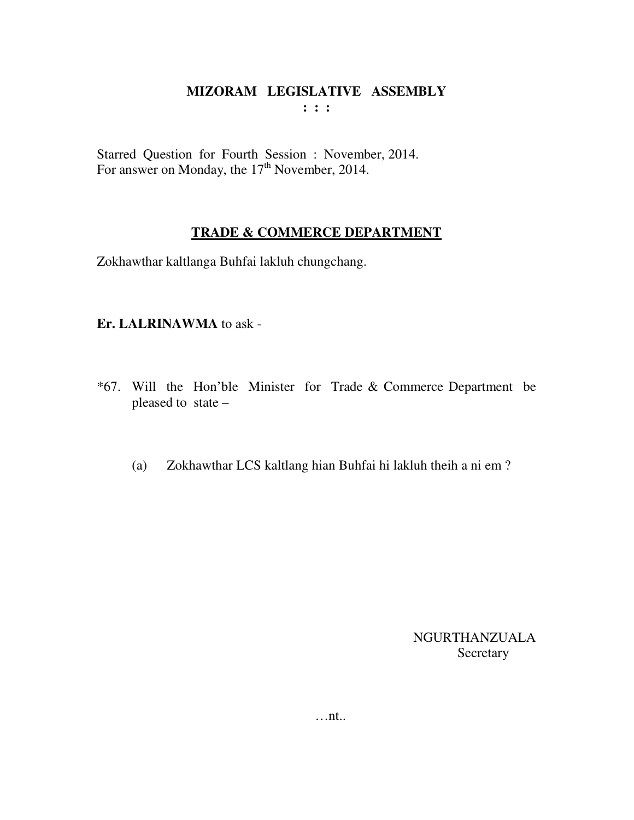Starred Question for Fourth Session : November, 2014. For answer on Monday, the  $17<sup>th</sup>$  November, 2014.

# **TRADE & COMMERCE DEPARTMENT**

Zokhawthar kaltlanga Buhfai lakluh chungchang.

# **Er. LALRINAWMA** to ask -

- \*67. Will the Hon'ble Minister for Trade & Commerce Department be pleased to state –
	- (a) Zokhawthar LCS kaltlang hian Buhfai hi lakluh theih a ni em ?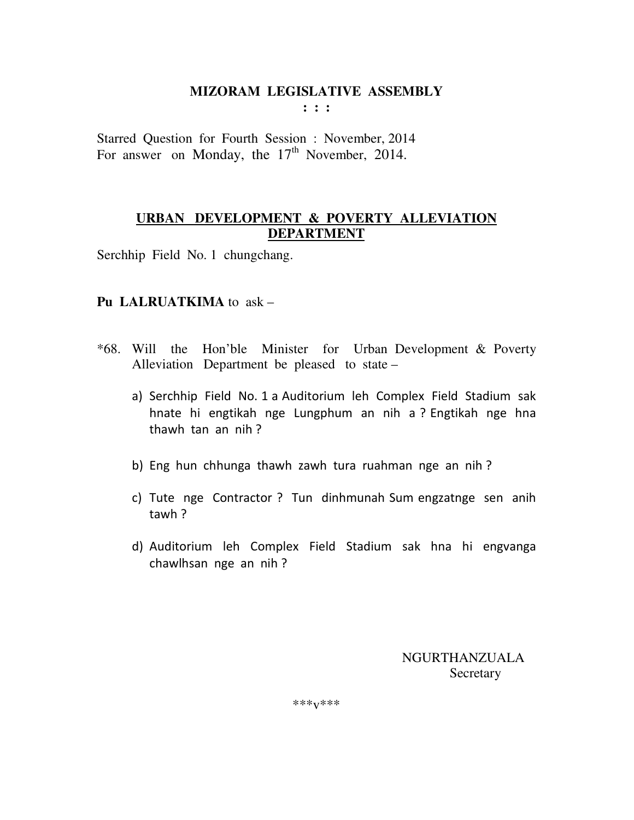**: : :** 

Starred Question for Fourth Session : November, 2014 For answer on Monday, the  $17<sup>th</sup>$  November, 2014.

# **URBAN DEVELOPMENT & POVERTY ALLEVIATION DEPARTMENT**

Serchhip Field No. 1 chungchang.

# **Pu LALRUATKIMA** to ask –

- \*68. Will the Hon'ble Minister for Urban Development & Poverty Alleviation Department be pleased to state –
	- a) Serchhip Field No. 1 a Auditorium leh Complex Field Stadium sak hnate hi engtikah nge Lungphum an nih a ? Engtikah nge hna thawh tan an nih ?
	- b) Eng hun chhunga thawh zawh tura ruahman nge an nih ?
	- c) Tute nge Contractor ? Tun dinhmunah Sum engzatnge sen anih tawh ?
	- d) Auditorium leh Complex Field Stadium sak hna hi engvanga chawlhsan nge an nih ?

 NGURTHANZUALA **Secretary** 

\*\*\*v\*\*\*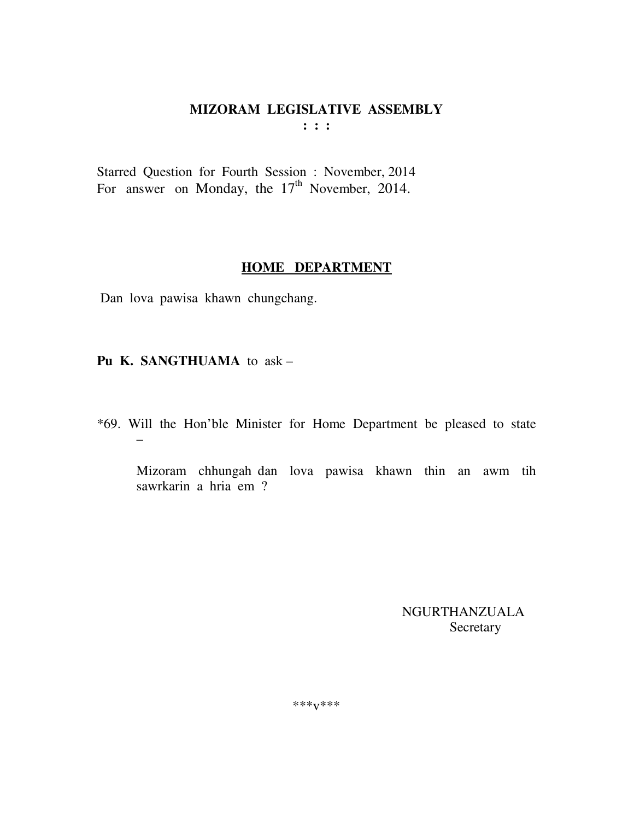Starred Question for Fourth Session : November, 2014 For answer on Monday, the  $17<sup>th</sup>$  November, 2014.

#### **HOME DEPARTMENT**

Dan lova pawisa khawn chungchang.

**Pu K. SANGTHUAMA** to ask –

\*69. Will the Hon'ble Minister for Home Department be pleased to state –

 Mizoram chhungah dan lova pawisa khawn thin an awm tih sawrkarin a hria em ?

> NGURTHANZUALA Secretary

\*\*\*v\*\*\*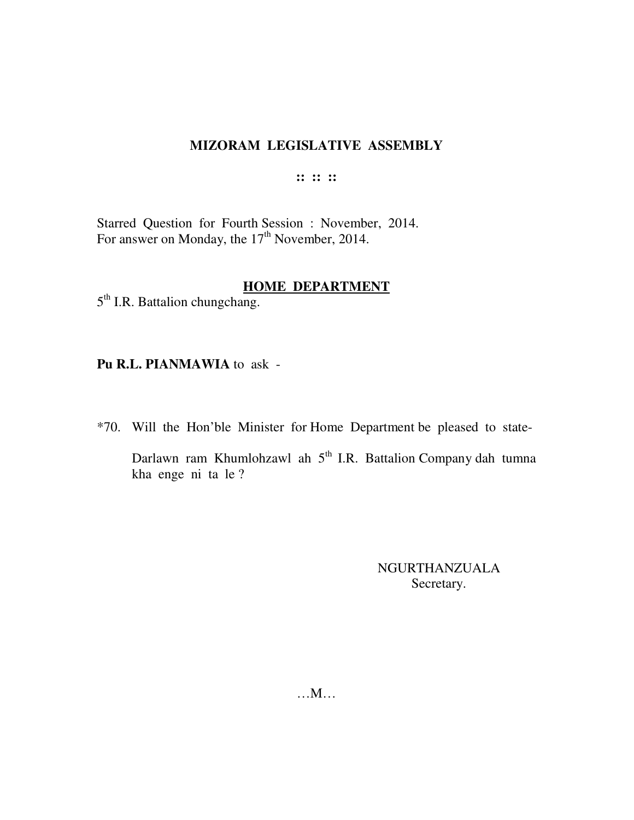**:: :: ::** 

Starred Question for Fourth Session : November, 2014. For answer on Monday, the  $17<sup>th</sup>$  November, 2014.

# **HOME DEPARTMENT**

5<sup>th</sup> I.R. Battalion chungchang.

**Pu R.L. PIANMAWIA** to ask -

\*70. Will the Hon'ble Minister for Home Department be pleased to state-

Darlawn ram Khumlohzawl ah 5<sup>th</sup> I.R. Battalion Company dah tumna kha enge ni ta le ?

> NGURTHANZUALA Secretary.

…M…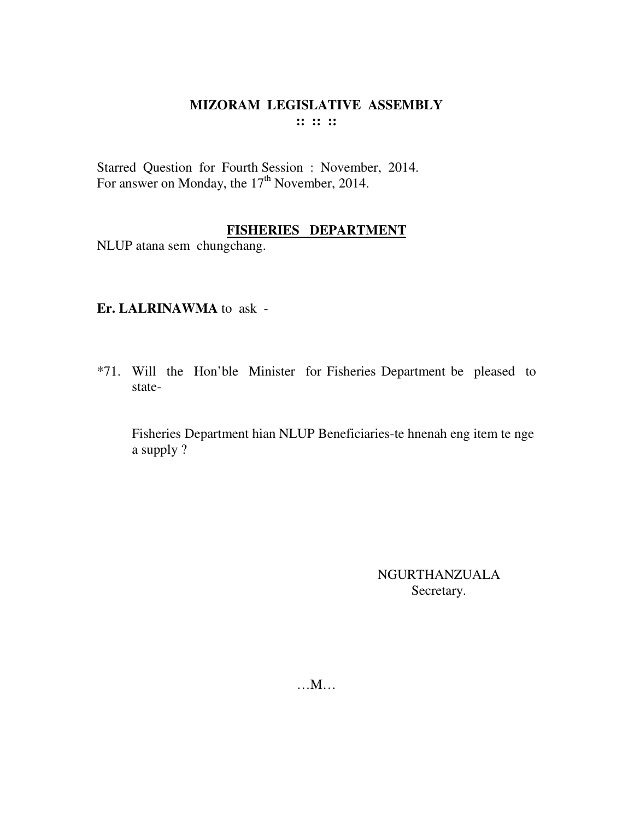#### MIZORAM LEGISLATIVE ASSEMBLY  $\cdots$   $\cdots$   $\cdots$

Starred Question for Fourth Session : November, 2014. For answer on Monday, the  $17<sup>th</sup>$  November, 2014.

# **FISHERIES DEPARTMENT**

NLUP atana sem chungchang.

# Er. LALRINAWMA to ask -

\*71. Will the Hon'ble Minister for Fisheries Department be pleased to state-

Fisheries Department hian NLUP Beneficiaries-te hnenah eng item te nge a supply ?

> **NGURTHANZUALA** Secretary.

 $...M...$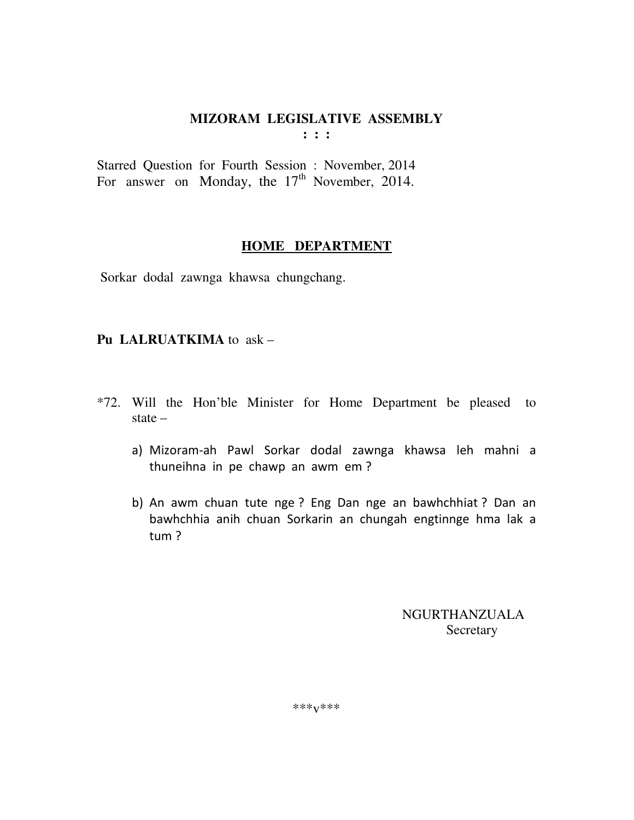**: : :** 

Starred Question for Fourth Session : November, 2014 For answer on Monday, the  $17<sup>th</sup>$  November, 2014.

# **HOME DEPARTMENT**

Sorkar dodal zawnga khawsa chungchang.

# **Pu LALRUATKIMA** to ask –

- \*72. Will the Hon'ble Minister for Home Department be pleased to state –
	- a) Mizoram-ah Pawl Sorkar dodal zawnga khawsa leh mahni a thuneihna in pe chawp an awm em ?
	- b) An awm chuan tute nge ? Eng Dan nge an bawhchhiat ? Dan an bawhchhia anih chuan Sorkarin an chungah engtinnge hma lak a tum ?

 NGURTHANZUALA **Secretary** 

\*\*\*v\*\*\*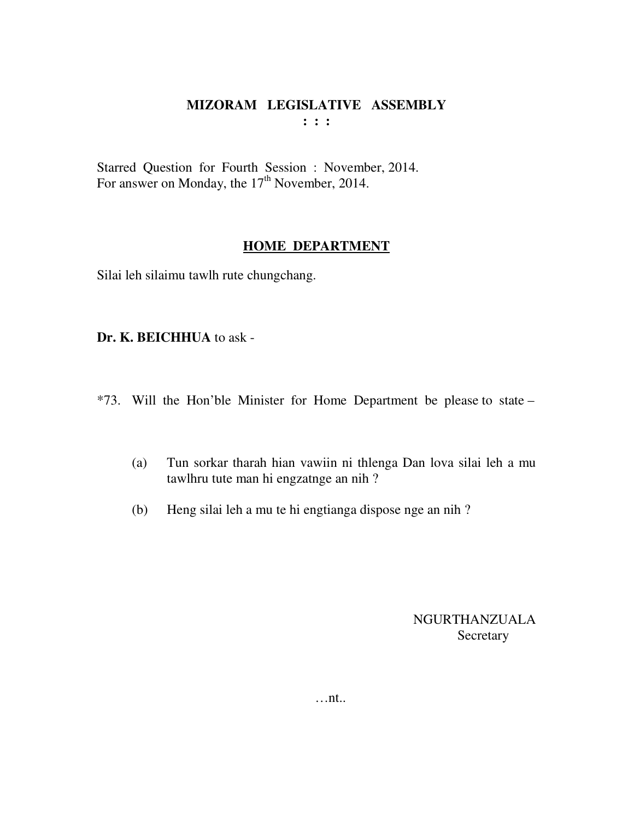Starred Question for Fourth Session : November, 2014. For answer on Monday, the 17<sup>th</sup> November, 2014.

# **HOME DEPARTMENT**

Silai leh silaimu tawlh rute chungchang.

**Dr. K. BEICHHUA** to ask -

- \*73. Will the Hon'ble Minister for Home Department be please to state
	- (a) Tun sorkar tharah hian vawiin ni thlenga Dan lova silai leh a mu tawlhru tute man hi engzatnge an nih ?
	- (b) Heng silai leh a mu te hi engtianga dispose nge an nih ?

NGURTHANZUALA **Secretary** 

…nt..